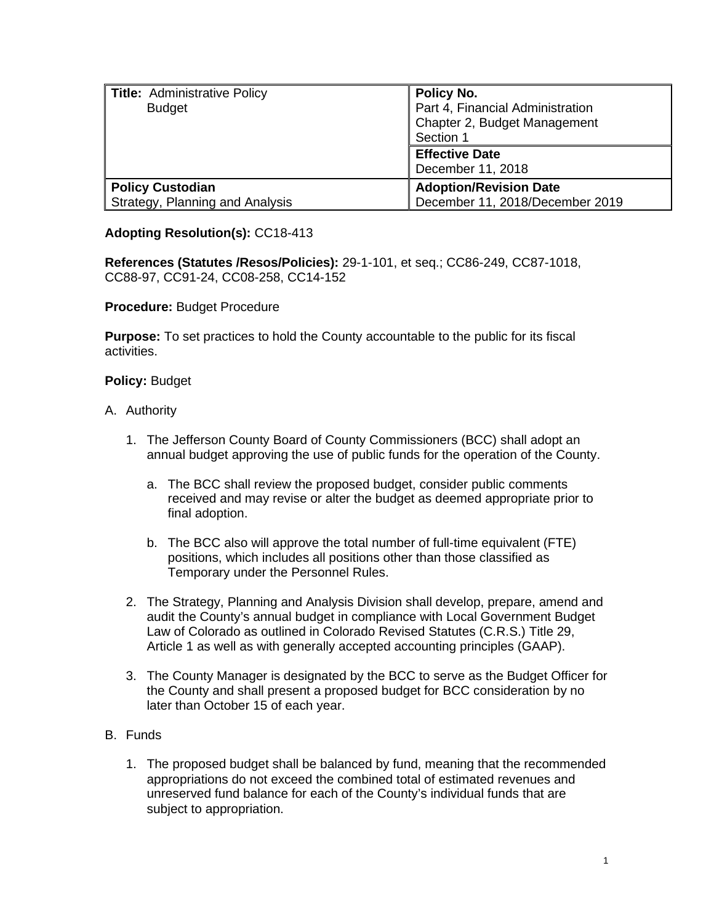| <b>Title: Administrative Policy</b><br><b>Budget</b>       | Policy No.<br>Part 4, Financial Administration<br>Chapter 2, Budget Management<br>Section 1 |
|------------------------------------------------------------|---------------------------------------------------------------------------------------------|
|                                                            | <b>Effective Date</b><br>December 11, 2018                                                  |
| <b>Policy Custodian</b><br>Strategy, Planning and Analysis | <b>Adoption/Revision Date</b><br>December 11, 2018/December 2019                            |

## **Adopting Resolution(s):** CC18-413

**References (Statutes /Resos/Policies):** 29-1-101, et seq.; CC86-249, CC87-1018, CC88-97, CC91-24, CC08-258, CC14-152

**Procedure:** Budget Procedure

**Purpose:** To set practices to hold the County accountable to the public for its fiscal activities.

## **Policy:** Budget

- A. Authority
	- 1. The Jefferson County Board of County Commissioners (BCC) shall adopt an annual budget approving the use of public funds for the operation of the County.
		- a. The BCC shall review the proposed budget, consider public comments received and may revise or alter the budget as deemed appropriate prior to final adoption.
		- b. The BCC also will approve the total number of full-time equivalent (FTE) positions, which includes all positions other than those classified as Temporary under the Personnel Rules.
	- 2. The Strategy, Planning and Analysis Division shall develop, prepare, amend and audit the County's annual budget in compliance with Local Government Budget Law of Colorado as outlined in Colorado Revised Statutes (C.R.S.) Title 29, Article 1 as well as with generally accepted accounting principles (GAAP).
	- 3. The County Manager is designated by the BCC to serve as the Budget Officer for the County and shall present a proposed budget for BCC consideration by no later than October 15 of each year.
- B. Funds
	- 1. The proposed budget shall be balanced by fund, meaning that the recommended appropriations do not exceed the combined total of estimated revenues and unreserved fund balance for each of the County's individual funds that are subject to appropriation.